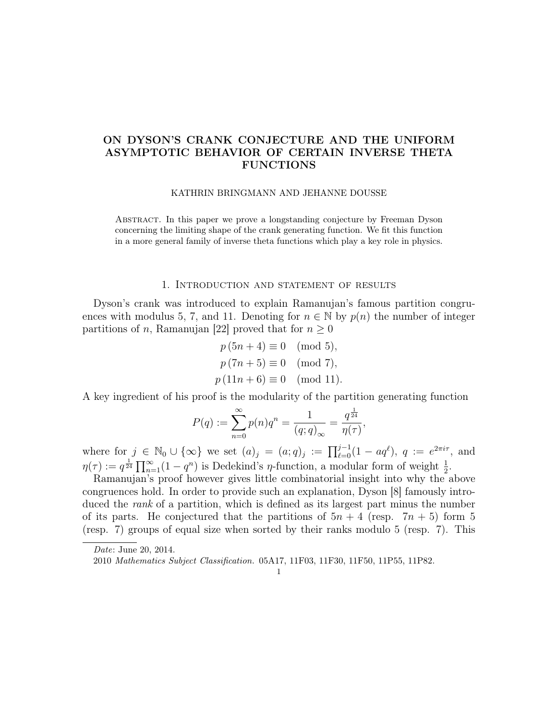# ON DYSON'S CRANK CONJECTURE AND THE UNIFORM ASYMPTOTIC BEHAVIOR OF CERTAIN INVERSE THETA FUNCTIONS

#### KATHRIN BRINGMANN AND JEHANNE DOUSSE

Abstract. In this paper we prove a longstanding conjecture by Freeman Dyson concerning the limiting shape of the crank generating function. We fit this function in a more general family of inverse theta functions which play a key role in physics.

### 1. Introduction and statement of results

Dyson's crank was introduced to explain Ramanujan's famous partition congruences with modulus 5, 7, and 11. Denoting for  $n \in \mathbb{N}$  by  $p(n)$  the number of integer partitions of n, Ramanujan [22] proved that for  $n \geq 0$ 

$$
p(5n + 4) \equiv 0 \pmod{5},
$$
  
\n
$$
p(7n + 5) \equiv 0 \pmod{7},
$$
  
\n
$$
p(11n + 6) \equiv 0 \pmod{11}.
$$

A key ingredient of his proof is the modularity of the partition generating function

$$
P(q) := \sum_{n=0}^{\infty} p(n)q^n = \frac{1}{(q;q)_{\infty}} = \frac{q^{\frac{1}{24}}}{\eta(\tau)},
$$

where for  $j \in \mathbb{N}_0 \cup \{\infty\}$  we set  $(a)_j = (a;q)_j := \prod_{\ell=0}^{j-1} (1 - aq^{\ell}), q := e^{2\pi i \tau}$ , and  $\eta(\tau) := q^{\frac{1}{24}} \prod_{n=1}^{\infty} (1 - q^n)$  is Dedekind's  $\eta$ -function, a modular form of weight  $\frac{1}{2}$ .

Ramanujan's proof however gives little combinatorial insight into why the above congruences hold. In order to provide such an explanation, Dyson [8] famously introduced the *rank* of a partition, which is defined as its largest part minus the number of its parts. He conjectured that the partitions of  $5n + 4$  (resp.  $7n + 5$ ) form 5 (resp. 7) groups of equal size when sorted by their ranks modulo 5 (resp. 7). This

1

Date: June 20, 2014.

<sup>2010</sup> Mathematics Subject Classification. 05A17, 11F03, 11F30, 11F50, 11P55, 11P82.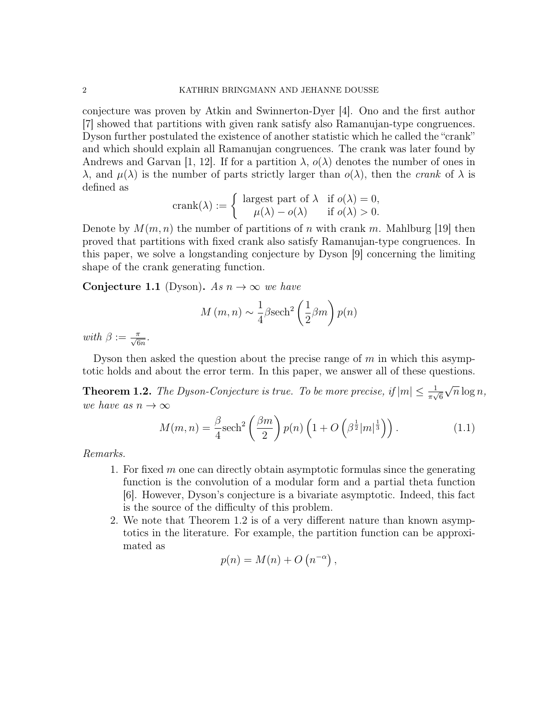conjecture was proven by Atkin and Swinnerton-Dyer [4]. Ono and the first author [7] showed that partitions with given rank satisfy also Ramanujan-type congruences. Dyson further postulated the existence of another statistic which he called the "crank" and which should explain all Ramanujan congruences. The crank was later found by Andrews and Garvan [1, 12]. If for a partition  $\lambda$ ,  $o(\lambda)$  denotes the number of ones in  $\lambda$ , and  $\mu(\lambda)$  is the number of parts strictly larger than  $o(\lambda)$ , then the *crank* of  $\lambda$  is defined as

$$
\text{crank}(\lambda) := \begin{cases} \text{ largest part of } \lambda & \text{if } o(\lambda) = 0, \\ \mu(\lambda) - o(\lambda) & \text{if } o(\lambda) > 0. \end{cases}
$$

Denote by  $M(m, n)$  the number of partitions of n with crank m. Mahlburg [19] then proved that partitions with fixed crank also satisfy Ramanujan-type congruences. In this paper, we solve a longstanding conjecture by Dyson [9] concerning the limiting shape of the crank generating function.

Conjecture 1.1 (Dyson). As  $n \to \infty$  we have

$$
M(m, n) \sim \frac{1}{4} \beta \text{sech}^2 \left(\frac{1}{2}\beta m\right) p(n)
$$

with  $\beta := \frac{\pi}{\sqrt{6n}}$ .

Dyson then asked the question about the precise range of  $m$  in which this asymptotic holds and about the error term. In this paper, we answer all of these questions.

**Theorem 1.2.** The Dyson-Conjecture is true. To be more precise, if  $|m| \leq \frac{1}{\pi\sqrt{6}}$ √  $\overline{n} \log n,$ we have as  $n \to \infty$ 

$$
M(m,n) = \frac{\beta}{4} \mathrm{sech}^2\left(\frac{\beta m}{2}\right) p(n) \left(1 + O\left(\beta^{\frac{1}{2}} |m|^{\frac{1}{3}}\right)\right). \tag{1.1}
$$

Remarks.

- 1. For fixed  $m$  one can directly obtain asymptotic formulas since the generating function is the convolution of a modular form and a partial theta function [6]. However, Dyson's conjecture is a bivariate asymptotic. Indeed, this fact is the source of the difficulty of this problem.
- 2. We note that Theorem 1.2 is of a very different nature than known asymptotics in the literature. For example, the partition function can be approximated as

$$
p(n) = M(n) + O(n^{-\alpha}),
$$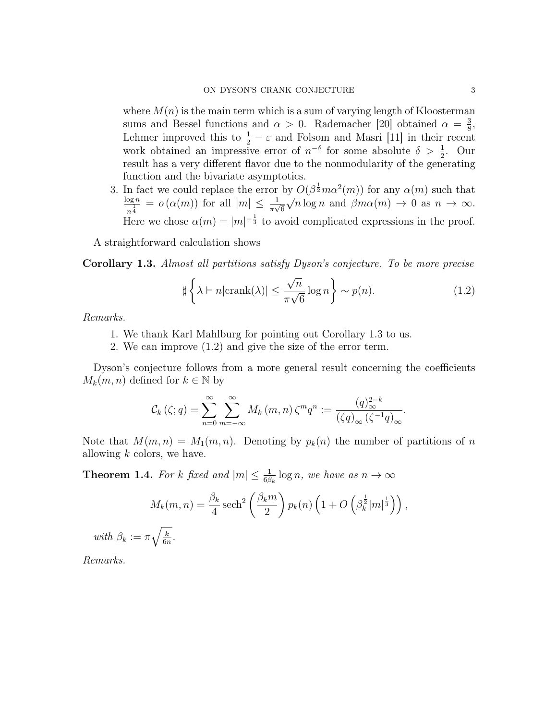where  $M(n)$  is the main term which is a sum of varying length of Kloosterman sums and Bessel functions and  $\alpha > 0$ . Rademacher [20] obtained  $\alpha = \frac{3}{8}$  $\frac{3}{8}$ , Lehmer improved this to  $\frac{1}{2} - \varepsilon$  and Folsom and Masri [11] in their recent work obtained an impressive error of  $n^{-\delta}$  for some absolute  $\delta > \frac{1}{2}$ . Our result has a very different flavor due to the nonmodularity of the generating function and the bivariate asymptotics.

3. In fact we could replace the error by  $O(\beta^{\frac{1}{2}}m\alpha^2(m))$  for any  $\alpha(m)$  such that  $\log n$  $\frac{\log n}{n^{\frac{1}{4}}} = o(\alpha(m))$  for all  $|m| \leq \frac{1}{\pi\sqrt{6}}$  $\frac{y}{4}$  $\overline{n} \log n$  and  $\beta m \alpha(m) \to 0$  as  $n \to \infty$ . Here we chose  $\alpha(m) = |m|^{-\frac{1}{3}}$  to avoid complicated expressions in the proof.

A straightforward calculation shows

Corollary 1.3. Almost all partitions satisfy Dyson's conjecture. To be more precise

$$
\sharp \left\{ \lambda \vdash n \vert \operatorname{crank}(\lambda) \vert \le \frac{\sqrt{n}}{\pi \sqrt{6}} \log n \right\} \sim p(n). \tag{1.2}
$$

Remarks.

- 1. We thank Karl Mahlburg for pointing out Corollary 1.3 to us.
- 2. We can improve (1.2) and give the size of the error term.

Dyson's conjecture follows from a more general result concerning the coefficients  $M_k(m, n)$  defined for  $k \in \mathbb{N}$  by

$$
\mathcal{C}_{k}(\zeta;q) = \sum_{n=0}^{\infty} \sum_{m=-\infty}^{\infty} M_{k}(m,n) \, \zeta^{m} q^{n} := \frac{(q)_{\infty}^{2-k}}{(\zeta q)_{\infty} (\zeta^{-1} q)_{\infty}}.
$$

Note that  $M(m, n) = M_1(m, n)$ . Denoting by  $p_k(n)$  the number of partitions of n allowing  $k$  colors, we have.

**Theorem 1.4.** For k fixed and  $|m| \leq \frac{1}{6\beta_k} \log n$ , we have as  $n \to \infty$ 

$$
M_k(m,n) = \frac{\beta_k}{4} \operatorname{sech}^2\left(\frac{\beta_k m}{2}\right) p_k(n) \left(1 + O\left(\beta_k^{\frac{1}{2}} |m|^{\frac{1}{3}}\right)\right),
$$

with  $\beta_k := \pi \sqrt{\frac{k}{6n}}$  $\frac{k}{6n}$  .

Remarks.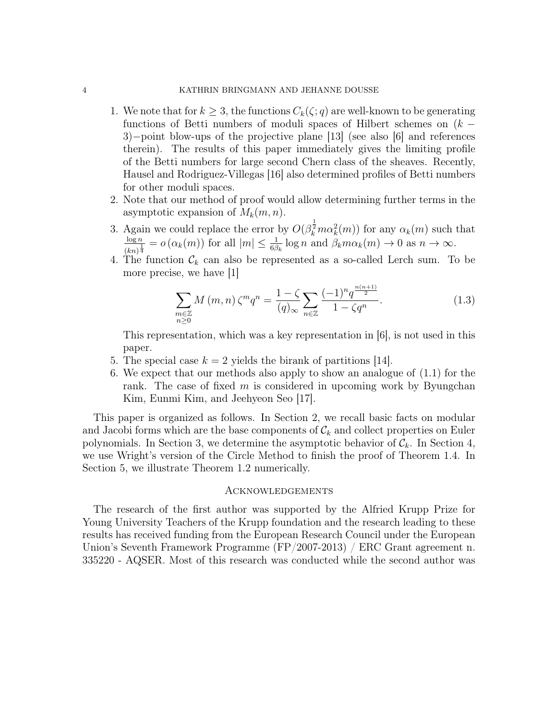### 4 KATHRIN BRINGMANN AND JEHANNE DOUSSE

- 1. We note that for  $k \geq 3$ , the functions  $C_k(\zeta;q)$  are well-known to be generating functions of Betti numbers of moduli spaces of Hilbert schemes on  $(k -$ 3)−point blow-ups of the projective plane [13] (see also [6] and references therein). The results of this paper immediately gives the limiting profile of the Betti numbers for large second Chern class of the sheaves. Recently, Hausel and Rodriguez-Villegas [16] also determined profiles of Betti numbers for other moduli spaces.
- 2. Note that our method of proof would allow determining further terms in the asymptotic expansion of  $M_k(m, n)$ .
- 3. Again we could replace the error by  $O(\beta_k^{\frac{1}{2}} m \alpha_k^2(m))$  for any  $\alpha_k(m)$  such that  $\log n$  $\frac{\log n}{(kn)^{\frac{1}{4}}} = o(\alpha_k(m))$  for all  $|m| \leq \frac{1}{6\beta_k} \log n$  and  $\beta_k m \alpha_k(m) \to 0$  as  $n \to \infty$ .
- 4. The function  $\mathcal{C}_k$  can also be represented as a so-called Lerch sum. To be more precise, we have [1]

$$
\sum_{\substack{m\in\mathbb{Z} \\ n\geq 0}} M(m,n) \zeta^m q^n = \frac{1-\zeta}{(q)_{\infty}} \sum_{n\in\mathbb{Z}} \frac{(-1)^n q^{\frac{n(n+1)}{2}}}{1-\zeta q^n}.
$$
 (1.3)

This representation, which was a key representation in [6], is not used in this paper.

- 5. The special case  $k = 2$  yields the birank of partitions [14].
- 6. We expect that our methods also apply to show an analogue of (1.1) for the rank. The case of fixed  $m$  is considered in upcoming work by Byungchan Kim, Eunmi Kim, and Jeehyeon Seo [17].

This paper is organized as follows. In Section 2, we recall basic facts on modular and Jacobi forms which are the base components of  $\mathcal{C}_k$  and collect properties on Euler polynomials. In Section 3, we determine the asymptotic behavior of  $\mathcal{C}_k$ . In Section 4, we use Wright's version of the Circle Method to finish the proof of Theorem 1.4. In Section 5, we illustrate Theorem 1.2 numerically.

### **ACKNOWLEDGEMENTS**

The research of the first author was supported by the Alfried Krupp Prize for Young University Teachers of the Krupp foundation and the research leading to these results has received funding from the European Research Council under the European Union's Seventh Framework Programme (FP/2007-2013) / ERC Grant agreement n. 335220 - AQSER. Most of this research was conducted while the second author was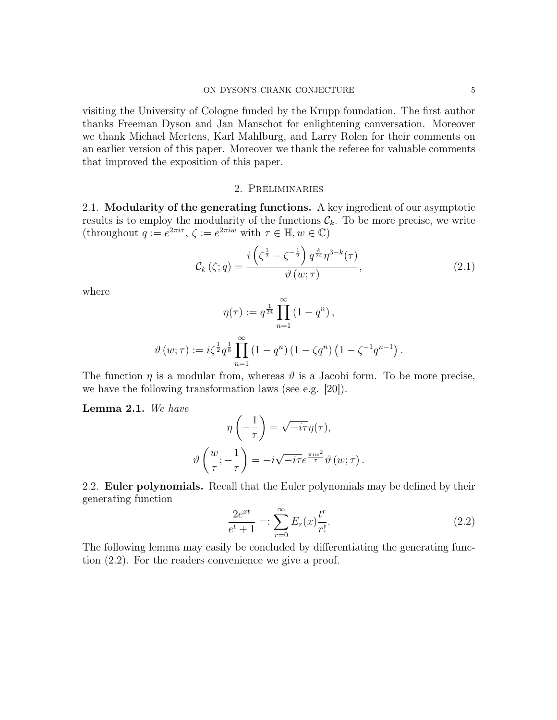visiting the University of Cologne funded by the Krupp foundation. The first author thanks Freeman Dyson and Jan Manschot for enlightening conversation. Moreover we thank Michael Mertens, Karl Mahlburg, and Larry Rolen for their comments on an earlier version of this paper. Moreover we thank the referee for valuable comments that improved the exposition of this paper.

### 2. Preliminaries

2.1. Modularity of the generating functions. A key ingredient of our asymptotic results is to employ the modularity of the functions  $\mathcal{C}_k$ . To be more precise, we write (throughout  $q := e^{2\pi i \tau}$ ,  $\zeta := e^{2\pi i w}$  with  $\tau \in \mathbb{H}$ ,  $w \in \mathbb{C}$ )

$$
\mathcal{C}_{k}\left(\zeta;q\right) = \frac{i\left(\zeta^{\frac{1}{2}} - \zeta^{-\frac{1}{2}}\right)q^{\frac{k}{24}}\eta^{3-k}(\tau)}{\vartheta\left(w;\tau\right)},\tag{2.1}
$$

where

$$
\eta(\tau) := q^{\frac{1}{24}} \prod_{n=1}^{\infty} (1 - q^n),
$$
  

$$
\vartheta(w; \tau) := i \zeta^{\frac{1}{2}} q^{\frac{1}{8}} \prod_{n=1}^{\infty} (1 - q^n) (1 - \zeta q^n) (1 - \zeta^{-1} q^{n-1}).
$$

The function  $\eta$  is a modular from, whereas  $\vartheta$  is a Jacobi form. To be more precise, we have the following transformation laws (see e.g. [20]).

Lemma 2.1. We have

$$
\eta\left(-\frac{1}{\tau}\right) = \sqrt{-i\tau}\eta(\tau),
$$

$$
\vartheta\left(\frac{w}{\tau}; -\frac{1}{\tau}\right) = -i\sqrt{-i\tau}e^{\frac{\pi i w^2}{\tau}}\vartheta(w;\tau).
$$

2.2. Euler polynomials. Recall that the Euler polynomials may be defined by their generating function

$$
\frac{2e^{xt}}{e^t + 1} =: \sum_{r=0}^{\infty} E_r(x) \frac{t^r}{r!}.
$$
\n(2.2)

The following lemma may easily be concluded by differentiating the generating function (2.2). For the readers convenience we give a proof.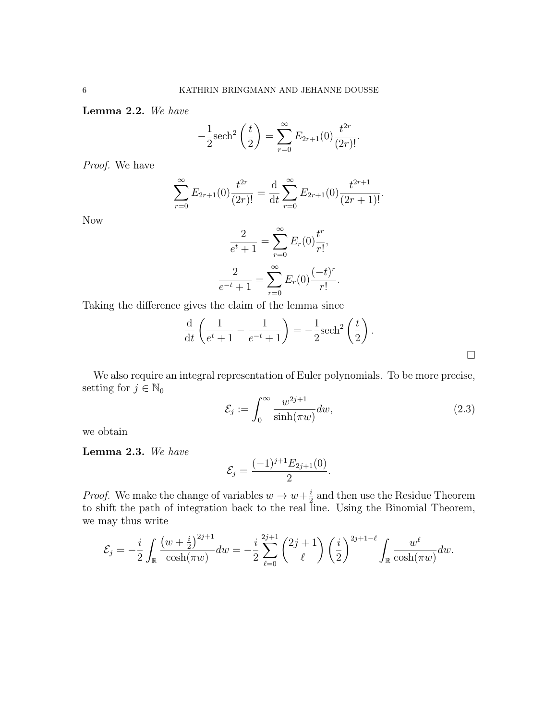Lemma 2.2. We have

$$
-\frac{1}{2}\mathrm{sech}^{2}\left(\frac{t}{2}\right) = \sum_{r=0}^{\infty} E_{2r+1}(0) \frac{t^{2r}}{(2r)!}.
$$

Proof. We have

$$
\sum_{r=0}^{\infty} E_{2r+1}(0) \frac{t^{2r}}{(2r)!} = \frac{\mathrm{d}}{\mathrm{d}t} \sum_{r=0}^{\infty} E_{2r+1}(0) \frac{t^{2r+1}}{(2r+1)!}.
$$

Now

$$
\frac{2}{e^t + 1} = \sum_{r=0}^{\infty} E_r(0) \frac{t^r}{r!},
$$

$$
\frac{2}{e^{-t} + 1} = \sum_{r=0}^{\infty} E_r(0) \frac{(-t)^r}{r!}.
$$

Taking the difference gives the claim of the lemma since

$$
\frac{\mathrm{d}}{\mathrm{d}t}\left(\frac{1}{e^t+1} - \frac{1}{e^{-t}+1}\right) = -\frac{1}{2}\mathrm{sech}^2\left(\frac{t}{2}\right).
$$

We also require an integral representation of Euler polynomials. To be more precise, setting for  $j \in \mathbb{N}_0$ 

$$
\mathcal{E}_j := \int_0^\infty \frac{w^{2j+1}}{\sinh(\pi w)} dw,
$$
\n(2.3)

 $\Box$ 

we obtain

Lemma 2.3. We have

$$
\mathcal{E}_j = \frac{(-1)^{j+1} E_{2j+1}(0)}{2}.
$$

*Proof.* We make the change of variables  $w \to w + \frac{i}{2}$  $\frac{i}{2}$  and then use the Residue Theorem to shift the path of integration back to the real line. Using the Binomial Theorem, we may thus write

$$
\mathcal{E}_j = -\frac{i}{2} \int_{\mathbb{R}} \frac{\left(w + \frac{i}{2}\right)^{2j+1}}{\cosh(\pi w)} dw = -\frac{i}{2} \sum_{\ell=0}^{2j+1} {2j+1 \choose \ell} \left(\frac{i}{2}\right)^{2j+1-\ell} \int_{\mathbb{R}} \frac{w^\ell}{\cosh(\pi w)} dw.
$$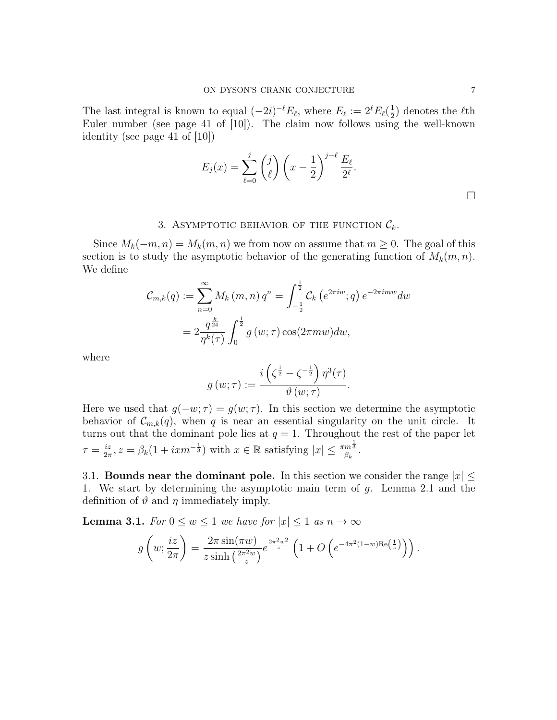The last integral is known to equal  $(-2i)^{-\ell}E_{\ell}$ , where  $E_{\ell} := 2^{\ell}E_{\ell}(\frac{1}{2})$  $(\frac{1}{2})$  denotes the  $\ell$ th Euler number (see page 41 of [10]). The claim now follows using the well-known identity (see page 41 of [10])

$$
E_j(x) = \sum_{\ell=0}^j \binom{j}{\ell} \left(x - \frac{1}{2}\right)^{j-\ell} \frac{E_\ell}{2^{\ell}}.
$$

## 3. ASYMPTOTIC BEHAVIOR OF THE FUNCTION  $\mathcal{C}_k$ .

Since  $M_k(-m, n) = M_k(m, n)$  we from now on assume that  $m \geq 0$ . The goal of this section is to study the asymptotic behavior of the generating function of  $M_k(m, n)$ . We define

$$
C_{m,k}(q) := \sum_{n=0}^{\infty} M_k(m,n) q^n = \int_{-\frac{1}{2}}^{\frac{1}{2}} C_k(e^{2\pi i w};q) e^{-2\pi i m w} dw
$$
  
=  $2 \frac{q^{\frac{k}{24}}}{\eta^k(\tau)} \int_0^{\frac{1}{2}} g(w;\tau) \cos(2\pi m w) dw,$ 

where

$$
g(w;\tau):=\frac{i\left(\zeta^{\frac{1}{2}}-\zeta^{-\frac{1}{2}}\right)\eta^3(\tau)}{\vartheta\left(w;\tau\right)}.
$$

Here we used that  $g(-w; \tau) = g(w; \tau)$ . In this section we determine the asymptotic behavior of  $\mathcal{C}_{m,k}(q)$ , when q is near an essential singularity on the unit circle. It turns out that the dominant pole lies at  $q = 1$ . Throughout the rest of the paper let  $\tau = \frac{iz}{2\pi}$  $\frac{iz}{2\pi}$ ,  $z = \beta_k(1 + i x m^{-\frac{1}{3}})$  with  $x \in \mathbb{R}$  satisfying  $|x| \leq \frac{\pi m^{\frac{1}{3}}}{\beta_k}$  $\frac{m\,3}{\beta_k}$  .

3.1. Bounds near the dominant pole. In this section we consider the range  $|x| \leq$ 1. We start by determining the asymptotic main term of g. Lemma 2.1 and the definition of  $\vartheta$  and  $\eta$  immediately imply.

**Lemma 3.1.** For  $0 \leq w \leq 1$  we have for  $|x| \leq 1$  as  $n \to \infty$ 

$$
g\left(w;\frac{iz}{2\pi}\right) = \frac{2\pi\sin(\pi w)}{z\sinh\left(\frac{2\pi^2w}{z}\right)}e^{\frac{2\pi^2w^2}{z}}\left(1+O\left(e^{-4\pi^2(1-w)\text{Re}\left(\frac{1}{z}\right)}\right)\right).
$$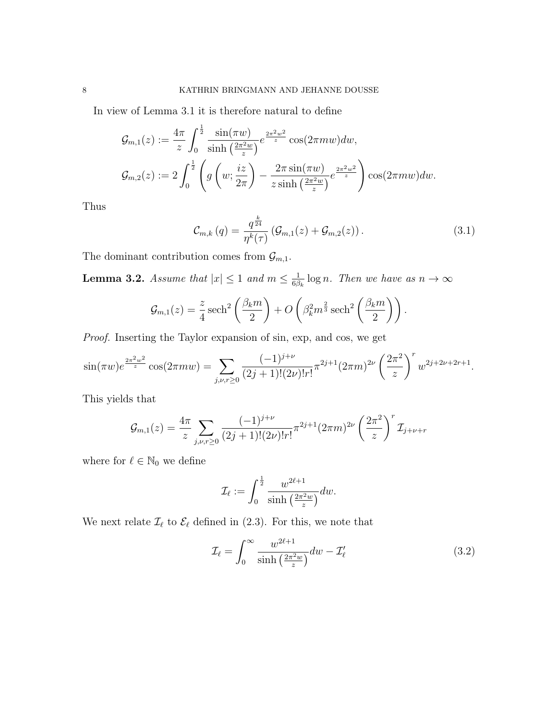In view of Lemma 3.1 it is therefore natural to define

$$
\mathcal{G}_{m,1}(z) := \frac{4\pi}{z} \int_0^{\frac{1}{2}} \frac{\sin(\pi w)}{\sinh\left(\frac{2\pi^2 w}{z}\right)} e^{\frac{2\pi^2 w^2}{z}} \cos(2\pi m w) dw,
$$
  

$$
\mathcal{G}_{m,2}(z) := 2 \int_0^{\frac{1}{2}} \left( g\left(w; \frac{iz}{2\pi}\right) - \frac{2\pi \sin(\pi w)}{z \sinh\left(\frac{2\pi^2 w}{z}\right)} e^{\frac{2\pi^2 w^2}{z}} \right) \cos(2\pi m w) dw.
$$

Thus

$$
\mathcal{C}_{m,k}(q) = \frac{q^{\frac{k}{24}}}{\eta^k(\tau)} \left( \mathcal{G}_{m,1}(z) + \mathcal{G}_{m,2}(z) \right). \tag{3.1}
$$

The dominant contribution comes from  $\mathcal{G}_{m,1}.$ 

**Lemma 3.2.** Assume that  $|x| \leq 1$  and  $m \leq \frac{1}{68}$  $\frac{1}{6\beta_k} \log n$ . Then we have as  $n \to \infty$ 

$$
\mathcal{G}_{m,1}(z) = \frac{z}{4} \operatorname{sech}^2\left(\frac{\beta_k m}{2}\right) + O\left(\beta_k^2 m^{\frac{2}{3}} \operatorname{sech}^2\left(\frac{\beta_k m}{2}\right)\right).
$$

Proof. Inserting the Taylor expansion of sin, exp, and cos, we get

$$
\sin(\pi w)e^{\frac{2\pi^2 w^2}{z}}\cos(2\pi mw) = \sum_{j,\nu,r\geq 0} \frac{(-1)^{j+\nu}}{(2j+1)!(2\nu)!r!} \pi^{2j+1} (2\pi m)^{2\nu} \left(\frac{2\pi^2}{z}\right)^r w^{2j+2\nu+2r+1}.
$$

This yields that

$$
\mathcal{G}_{m,1}(z) = \frac{4\pi}{z} \sum_{j,\nu,r\geq 0} \frac{(-1)^{j+\nu}}{(2j+1)!(2\nu)!r!} \pi^{2j+1} (2\pi m)^{2\nu} \left(\frac{2\pi^2}{z}\right)^r \mathcal{I}_{j+\nu+r}
$$

where for  $\ell \in \mathbb{N}_0$  we define

$$
\mathcal{I}_{\ell} := \int_0^{\frac{1}{2}} \frac{w^{2\ell+1}}{\sinh\left(\frac{2\pi^2 w}{z}\right)} dw.
$$

We next relate  $\mathcal{I}_{\ell}$  to  $\mathcal{E}_{\ell}$  defined in (2.3). For this, we note that

$$
\mathcal{I}_{\ell} = \int_0^\infty \frac{w^{2\ell+1}}{\sinh\left(\frac{2\pi^2 w}{z}\right)} dw - \mathcal{I}'_{\ell} \tag{3.2}
$$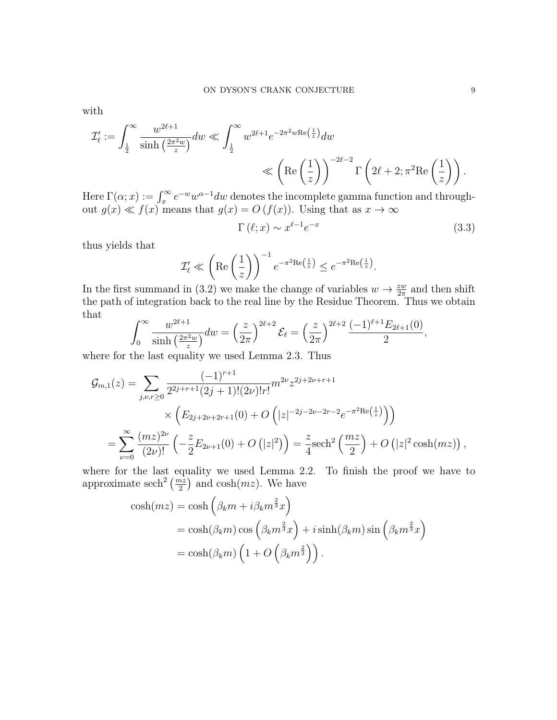with

$$
\mathcal{I}'_{\ell} := \int_{\frac{1}{2}}^{\infty} \frac{w^{2\ell+1}}{\sinh\left(\frac{2\pi^2 w}{z}\right)} dw \ll \int_{\frac{1}{2}}^{\infty} w^{2\ell+1} e^{-2\pi^2 w \text{Re}\left(\frac{1}{z}\right)} dw
$$
  
\$\ll \left(\text{Re}\left(\frac{1}{z}\right)\right)^{-2\ell-2} \Gamma\left(2\ell+2; \pi^2 \text{Re}\left(\frac{1}{z}\right)\right).

Here  $\Gamma(\alpha; x) := \int_x^{\infty} e^{-w} w^{\alpha-1} dw$  denotes the incomplete gamma function and throughout  $g(x) \ll f(x)$  means that  $g(x) = O(f(x))$ . Using that as  $x \to \infty$ 

$$
\Gamma\left(\ell;x\right) \sim x^{\ell-1} e^{-x} \tag{3.3}
$$

thus yields that

$$
\mathcal{I}'_{\ell} \ll \left( \text{Re}\left(\frac{1}{z}\right) \right)^{-1} e^{-\pi^2 \text{Re}\left(\frac{1}{z}\right)} \leq e^{-\pi^2 \text{Re}\left(\frac{1}{z}\right)}.
$$

In the first summand in (3.2) we make the change of variables  $w \to \frac{zw}{2\pi}$  and then shift the path of integration back to the real line by the Residue Theorem. Thus we obtain that

$$
\int_0^\infty \frac{w^{2\ell+1}}{\sinh\left(\frac{2\pi^2 w}{z}\right)} dw = \left(\frac{z}{2\pi}\right)^{2\ell+2} \mathcal{E}_\ell = \left(\frac{z}{2\pi}\right)^{2\ell+2} \frac{(-1)^{\ell+1} E_{2\ell+1}(0)}{2},
$$

where for the last equality we used Lemma 2.3. Thus

$$
\mathcal{G}_{m,1}(z) = \sum_{j,\nu,r\geq 0} \frac{(-1)^{r+1}}{2^{2j+r+1}(2j+1)!(2\nu)!r!} m^{2\nu} z^{2j+2\nu+r+1}
$$

$$
\times \left( E_{2j+2\nu+2r+1}(0) + O\left( |z|^{-2j-2\nu-2r-2} e^{-\pi^2 \text{Re}\left(\frac{1}{z}\right)} \right) \right)
$$

$$
= \sum_{\nu=0}^{\infty} \frac{(mz)^{2\nu}}{(2\nu)!} \left( -\frac{z}{2} E_{2\nu+1}(0) + O\left( |z|^2 \right) \right) = \frac{z}{4} \text{sech}^2 \left( \frac{mz}{2} \right) + O\left( |z|^2 \cosh(mz) \right),
$$

where for the last equality we used Lemma 2.2. To finish the proof we have to approximate sech<sup>2</sup>  $\left(\frac{mz}{2}\right)$  and cosh $(mz)$ . We have

$$
\cosh(mz) = \cosh\left(\beta_k m + i\beta_k m^{\frac{2}{3}}x\right)
$$
  
=  $\cosh(\beta_k m) \cos\left(\beta_k m^{\frac{2}{3}}x\right) + i \sinh(\beta_k m) \sin\left(\beta_k m^{\frac{2}{3}}x\right)$   
=  $\cosh(\beta_k m) \left(1 + O\left(\beta_k m^{\frac{2}{3}}\right)\right).$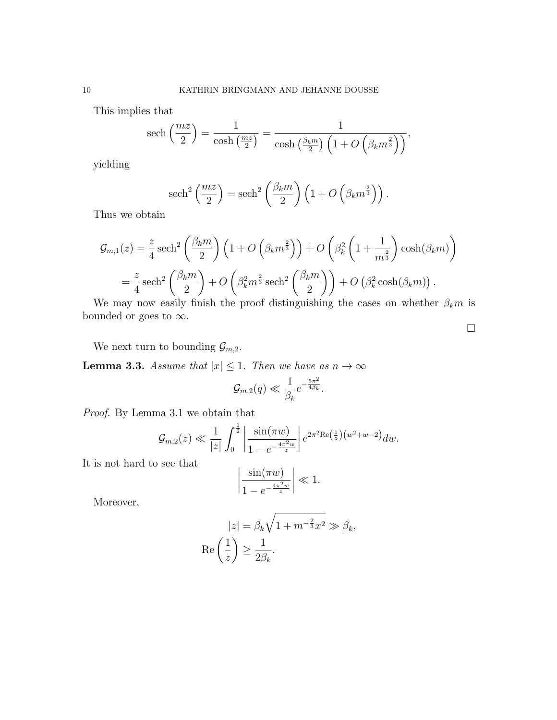This implies that

sech 
$$
\left(\frac{mz}{2}\right) = \frac{1}{\cosh\left(\frac{mz}{2}\right)} = \frac{1}{\cosh\left(\frac{\beta_k m}{2}\right)\left(1 + O\left(\beta_k m^{\frac{2}{3}}\right)\right)},
$$

yielding

sech<sup>2</sup> 
$$
\left(\frac{mz}{2}\right)
$$
 = sech<sup>2</sup>  $\left(\frac{\beta_k m}{2}\right) \left(1 + O\left(\beta_k m^{\frac{2}{3}}\right)\right)$ .

Thus we obtain

$$
\mathcal{G}_{m,1}(z) = \frac{z}{4} \operatorname{sech}^2\left(\frac{\beta_k m}{2}\right) \left(1 + O\left(\beta_k m^{\frac{2}{3}}\right)\right) + O\left(\beta_k^2 \left(1 + \frac{1}{m^{\frac{2}{3}}}\right) \cosh(\beta_k m)\right)
$$

$$
= \frac{z}{4} \operatorname{sech}^2\left(\frac{\beta_k m}{2}\right) + O\left(\beta_k^2 m^{\frac{2}{3}} \operatorname{sech}^2\left(\frac{\beta_k m}{2}\right)\right) + O\left(\beta_k^2 \cosh(\beta_k m)\right).
$$

We may now easily finish the proof distinguishing the cases on whether  $\beta_k m$  is bounded or goes to  $\infty$ .

 $\Box$ 

We next turn to bounding  $\mathcal{G}_{m,2}$ .

**Lemma 3.3.** Assume that  $|x| \leq 1$ . Then we have as  $n \to \infty$ 

$$
\mathcal{G}_{m,2}(q) \ll \frac{1}{\beta_k} e^{-\frac{5\pi^2}{4\beta_k}}.
$$

Proof. By Lemma 3.1 we obtain that

$$
\mathcal{G}_{m,2}(z) \ll \frac{1}{|z|} \int_0^{\frac{1}{2}} \left| \frac{\sin(\pi w)}{1 - e^{-\frac{4\pi^2 w}{z}}} \right| e^{2\pi^2 \text{Re}\left(\frac{1}{z}\right)(w^2 + w - 2)} dw.
$$

It is not hard to see that

$$
\left|\frac{\sin(\pi w)}{1 - e^{-\frac{4\pi^2 w}{z}}}\right| \ll 1.
$$

Moreover,

$$
|z| = \beta_k \sqrt{1 + m^{-\frac{2}{3}}x^2} \gg \beta_k,
$$
  
Re $\left(\frac{1}{z}\right) \ge \frac{1}{2\beta_k}.$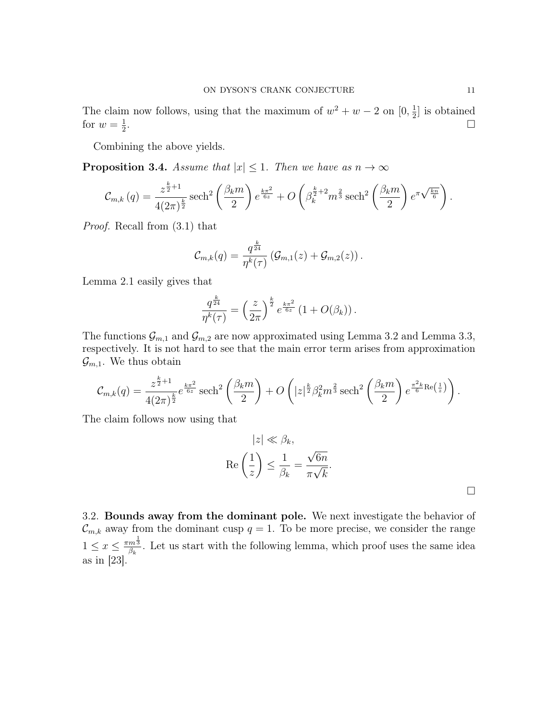The claim now follows, using that the maximum of  $w^2 + w - 2$  on  $[0, \frac{1}{2}]$  $\frac{1}{2}$  is obtained for  $w=\frac{1}{2}$ 2 .

Combining the above yields.

**Proposition 3.4.** Assume that  $|x| \leq 1$ . Then we have as  $n \to \infty$ 

$$
\mathcal{C}_{m,k}\left(q\right) = \frac{z^{\frac{k}{2}+1}}{4(2\pi)^{\frac{k}{2}}}\operatorname{sech}^{2}\left(\frac{\beta_{k}m}{2}\right)e^{\frac{k\pi^{2}}{6z}} + O\left(\beta_{k}^{\frac{k}{2}+2}m^{\frac{2}{3}}\operatorname{sech}^{2}\left(\frac{\beta_{k}m}{2}\right)e^{\pi\sqrt{\frac{kn}{6}}}\right).
$$

Proof. Recall from (3.1) that

$$
\mathcal{C}_{m,k}(q) = \frac{q^{\frac{k}{24}}}{\eta^k(\tau)} \left( \mathcal{G}_{m,1}(z) + \mathcal{G}_{m,2}(z) \right).
$$

Lemma 2.1 easily gives that

$$
\frac{q^{\frac{k}{24}}}{\eta^k(\tau)} = \left(\frac{z}{2\pi}\right)^{\frac{k}{2}} e^{\frac{k\pi^2}{6z}} \left(1 + O(\beta_k)\right).
$$

The functions  $\mathcal{G}_{m,1}$  and  $\mathcal{G}_{m,2}$  are now approximated using Lemma 3.2 and Lemma 3.3, respectively. It is not hard to see that the main error term arises from approximation  $\mathcal{G}_{m,1}$ . We thus obtain

$$
\mathcal{C}_{m,k}(q) = \frac{z^{\frac{k}{2}+1}}{4(2\pi)^{\frac{k}{2}}} e^{\frac{k\pi^2}{6z}} \operatorname{sech}^2\left(\frac{\beta_k m}{2}\right) + O\left(|z|^{\frac{k}{2}} \beta_k^2 m^{\frac{2}{3}} \operatorname{sech}^2\left(\frac{\beta_k m}{2}\right) e^{\frac{\pi^2 k}{6} \operatorname{Re}\left(\frac{1}{z}\right)}\right).
$$

The claim follows now using that

$$
|z| \ll \beta_k,
$$
  
Re $\left(\frac{1}{z}\right) \le \frac{1}{\beta_k} = \frac{\sqrt{6n}}{\pi\sqrt{k}}.$ 

3.2. Bounds away from the dominant pole. We next investigate the behavior of  $\mathcal{C}_{m,k}$  away from the dominant cusp  $q=1$ . To be more precise, we consider the range  $1 \leq x \leq \frac{\pi m^{\frac{1}{3}}}{\beta}$  $\frac{m^3}{\beta_k}$ . Let us start with the following lemma, which proof uses the same idea as in [23].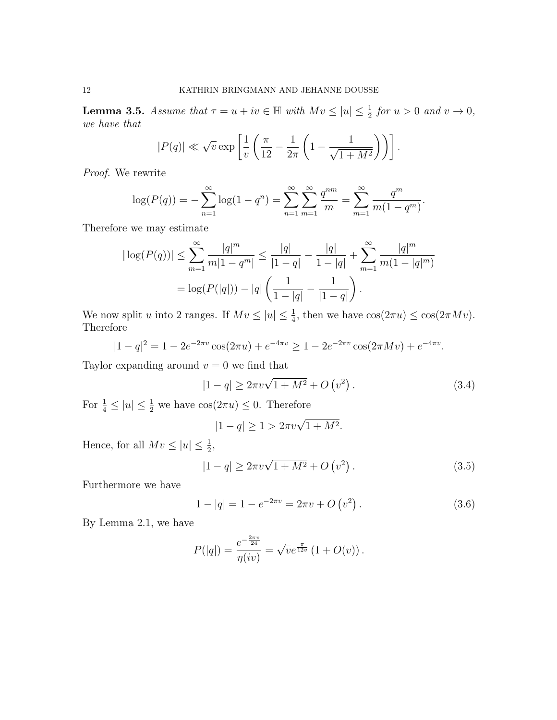**Lemma 3.5.** Assume that  $\tau = u + iv \in \mathbb{H}$  with  $Mv \leq |u| \leq \frac{1}{2}$  for  $u > 0$  and  $v \to 0$ , we have that

$$
|P(q)| \ll \sqrt{v} \exp\left[\frac{1}{v}\left(\frac{\pi}{12} - \frac{1}{2\pi}\left(1 - \frac{1}{\sqrt{1 + M^2}}\right)\right)\right].
$$

Proof. We rewrite

$$
\log(P(q)) = -\sum_{n=1}^{\infty} \log(1 - q^n) = \sum_{n=1}^{\infty} \sum_{m=1}^{\infty} \frac{q^{nm}}{m} = \sum_{m=1}^{\infty} \frac{q^m}{m(1 - q^m)}.
$$

Therefore we may estimate

$$
|\log(P(q))| \le \sum_{m=1}^{\infty} \frac{|q|^m}{m|1-q^m|} \le \frac{|q|}{|1-q|} - \frac{|q|}{1-|q|} + \sum_{m=1}^{\infty} \frac{|q|^m}{m(1-|q|^m)}
$$
  
=  $\log(P(|q|)) - |q| \left(\frac{1}{1-|q|} - \frac{1}{|1-q|}\right).$ 

We now split u into 2 ranges. If  $Mv \le |u| \le \frac{1}{4}$ , then we have  $\cos(2\pi u) \le \cos(2\pi Mv)$ . Therefore

$$
|1 - q|^2 = 1 - 2e^{-2\pi v} \cos(2\pi u) + e^{-4\pi v} \ge 1 - 2e^{-2\pi v} \cos(2\pi Mv) + e^{-4\pi v}.
$$

Taylor expanding around  $v = 0$  we find that

$$
|1 - q| \ge 2\pi v \sqrt{1 + M^2} + O(v^2).
$$
 (3.4)

For  $\frac{1}{4} \leq |u| \leq \frac{1}{2}$  we have  $\cos(2\pi u) \leq 0$ . Therefore

$$
|1 - q| \ge 1 > 2\pi v \sqrt{1 + M^2}.
$$

Hence, for all  $Mv \leq |u| \leq \frac{1}{2}$ ,

$$
|1 - q| \ge 2\pi v \sqrt{1 + M^2} + O(v^2).
$$
 (3.5)

Furthermore we have

$$
1 - |q| = 1 - e^{-2\pi v} = 2\pi v + O(v^2).
$$
\n(3.6)

By Lemma 2.1, we have

$$
P(|q|) = \frac{e^{-\frac{2\pi v}{24}}}{\eta(iv)} = \sqrt{v}e^{\frac{\pi}{12v}}(1+O(v)).
$$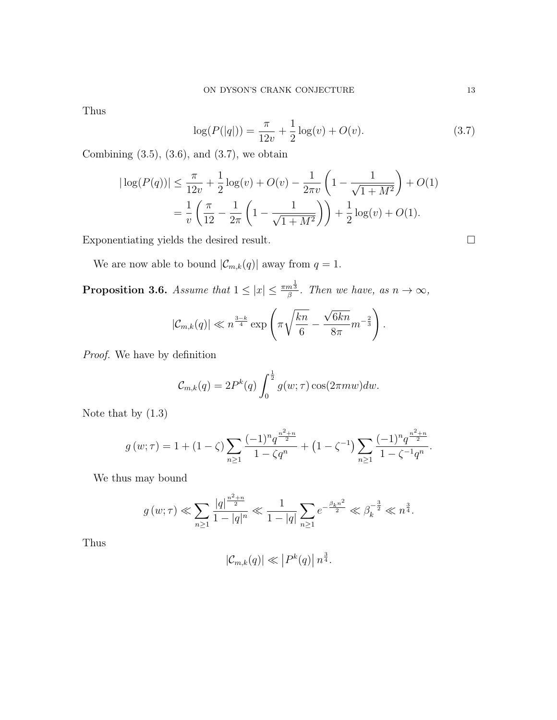Thus

$$
\log(P(|q|)) = \frac{\pi}{12v} + \frac{1}{2}\log(v) + O(v).
$$
 (3.7)

Combining  $(3.5)$ ,  $(3.6)$ , and  $(3.7)$ , we obtain

$$
|\log(P(q))| \le \frac{\pi}{12v} + \frac{1}{2}\log(v) + O(v) - \frac{1}{2\pi v} \left(1 - \frac{1}{\sqrt{1 + M^2}}\right) + O(1)
$$
  
=  $\frac{1}{v} \left(\frac{\pi}{12} - \frac{1}{2\pi} \left(1 - \frac{1}{\sqrt{1 + M^2}}\right)\right) + \frac{1}{2}\log(v) + O(1).$ 

Exponentiating yields the desired result.  $\Box$ 

We are now able to bound  $|\mathcal{C}_{m,k}(q)|$  away from  $q=1$ .

**Proposition 3.6.** Assume that  $1 \leq |x| \leq \frac{\pi m^{\frac{1}{3}}}{\beta}$  $\frac{n^3}{\beta}$ . Then we have, as  $n \to \infty$ ,

$$
|\mathcal{C}_{m,k}(q)| \ll n^{\frac{3-k}{4}} \exp\left(\pi \sqrt{\frac{kn}{6}} - \frac{\sqrt{6kn}}{8\pi}m^{-\frac{2}{3}}\right).
$$

Proof. We have by definition

$$
\mathcal{C}_{m,k}(q) = 2P^k(q) \int_0^{\frac{1}{2}} g(w;\tau) \cos(2\pi m w) dw.
$$

Note that by (1.3)

$$
g(w;\tau) = 1 + (1 - \zeta) \sum_{n \ge 1} \frac{(-1)^n q^{\frac{n^2 + n}{2}}}{1 - \zeta q^n} + (1 - \zeta^{-1}) \sum_{n \ge 1} \frac{(-1)^n q^{\frac{n^2 + n}{2}}}{1 - \zeta^{-1} q^n}.
$$

We thus may bound

$$
g(w;\tau) \ll \sum_{n\geq 1} \frac{|q|^{\frac{n^2+n}{2}}}{1-|q|^n} \ll \frac{1}{1-|q|} \sum_{n\geq 1} e^{-\frac{\beta_k n^2}{2}} \ll \beta_k^{-\frac{3}{2}} \ll n^{\frac{3}{4}}.
$$

Thus

$$
|\mathcal{C}_{m,k}(q)| \ll |P^k(q)| n^{\frac{3}{4}}.
$$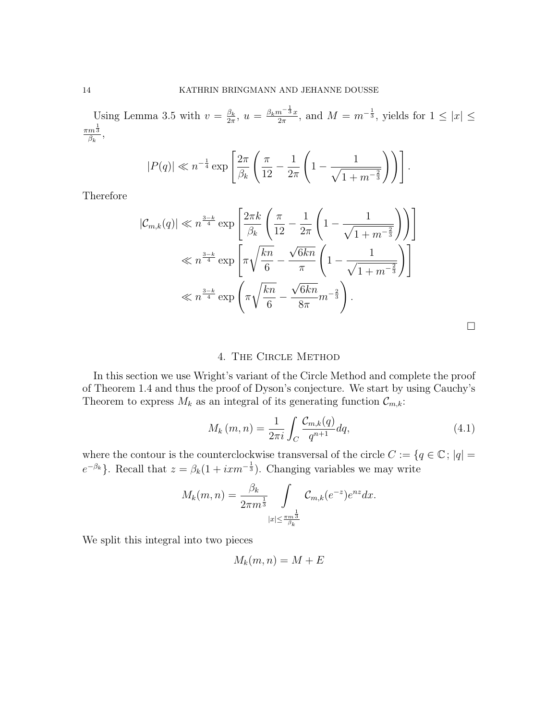Using Lemma 3.5 with  $v = \frac{\beta_k}{2\pi}$  $\frac{\beta_k}{2\pi}$ ,  $u = \frac{\beta_k m^{-\frac{1}{3}}x}{2\pi}$  $\frac{n^{-\frac{1}{3}}x}{2\pi}$ , and  $M = m^{-\frac{1}{3}}$ , yields for  $1 \leq |x| \leq$  $\pi m^{\frac{1}{3}}$  $\frac{m^3}{\beta_k},$ 

$$
|P(q)| \ll n^{-\frac{1}{4}} \exp\left[\frac{2\pi}{\beta_k} \left(\frac{\pi}{12} - \frac{1}{2\pi} \left(1 - \frac{1}{\sqrt{1 + m^{-\frac{2}{3}}}}\right)\right)\right].
$$

Therefore

$$
|\mathcal{C}_{m,k}(q)| \ll n^{\frac{3-k}{4}} \exp\left[\frac{2\pi k}{\beta_k} \left(\frac{\pi}{12} - \frac{1}{2\pi} \left(1 - \frac{1}{\sqrt{1 + m^{-\frac{2}{3}}}}\right)\right)\right]
$$
  

$$
\ll n^{\frac{3-k}{4}} \exp\left[\pi \sqrt{\frac{kn}{6}} - \frac{\sqrt{6kn}}{\pi} \left(1 - \frac{1}{\sqrt{1 + m^{-\frac{2}{3}}}}\right)\right]
$$
  

$$
\ll n^{\frac{3-k}{4}} \exp\left(\pi \sqrt{\frac{kn}{6}} - \frac{\sqrt{6kn}}{8\pi}m^{-\frac{2}{3}}\right).
$$

 $\Box$ 

## 4. The Circle Method

In this section we use Wright's variant of the Circle Method and complete the proof of Theorem 1.4 and thus the proof of Dyson's conjecture. We start by using Cauchy's Theorem to express  $M_k$  as an integral of its generating function  $\mathcal{C}_{m,k}$ :

$$
M_k(m, n) = \frac{1}{2\pi i} \int_C \frac{\mathcal{C}_{m,k}(q)}{q^{n+1}} dq,
$$
\n(4.1)

where the contour is the counterclockwise transversal of the circle  $C := \{q \in \mathbb{C}; |q| = \}$  $e^{-\beta_k}$ . Recall that  $z = \beta_k(1 + i x m^{-\frac{1}{3}})$ . Changing variables we may write

$$
M_k(m,n) = \frac{\beta_k}{2\pi m^{\frac{1}{3}}} \int\limits_{|x| \leq \frac{\pi m^{\frac{1}{3}}}{\beta_k}} \mathcal{C}_{m,k}(e^{-z})e^{nz}dx.
$$

We split this integral into two pieces

$$
M_k(m, n) = M + E
$$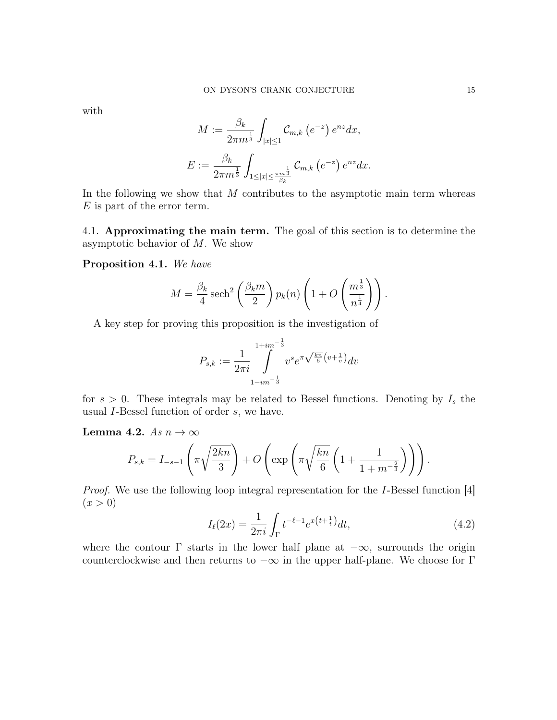with

$$
M := \frac{\beta_k}{2\pi m^{\frac{1}{3}}} \int_{|x| \le 1} C_{m,k} (e^{-z}) e^{nz} dx,
$$
  

$$
E := \frac{\beta_k}{2\pi m^{\frac{1}{3}}} \int_{1 \le |x| \le \frac{\pi m^{\frac{1}{3}}}{\beta_k}} C_{m,k} (e^{-z}) e^{nz} dx.
$$

In the following we show that  $M$  contributes to the asymptotic main term whereas E is part of the error term.

4.1. Approximating the main term. The goal of this section is to determine the asymptotic behavior of  $M$ . We show

Proposition 4.1. We have

$$
M = \frac{\beta_k}{4} \operatorname{sech}^2\left(\frac{\beta_k m}{2}\right) p_k(n) \left(1 + O\left(\frac{m^{\frac{1}{3}}}{n^{\frac{1}{4}}}\right)\right).
$$

A key step for proving this proposition is the investigation of

$$
P_{s,k} := \frac{1}{2\pi i} \int\limits_{1-i m^{-\frac{1}{3}}}^{1+i m^{-\frac{1}{3}}} v^s e^{\pi \sqrt{\frac{kn}{6}} \left(v + \frac{1}{v}\right)} dv
$$

for  $s > 0$ . These integrals may be related to Bessel functions. Denoting by  $I_s$  the usual I-Bessel function of order s, we have.

Lemma 4.2. As  $n \to \infty$ 

$$
P_{s,k} = I_{-s-1}\left(\pi\sqrt{\frac{2kn}{3}}\right) + O\left(\exp\left(\pi\sqrt{\frac{kn}{6}}\left(1 + \frac{1}{1+m^{-\frac{2}{3}}}\right)\right)\right).
$$

Proof. We use the following loop integral representation for the I-Bessel function [4]  $(x > 0)$ 

$$
I_{\ell}(2x) = \frac{1}{2\pi i} \int_{\Gamma} t^{-\ell - 1} e^{x(t + \frac{1}{t})} dt,
$$
\n(4.2)

where the contour  $\Gamma$  starts in the lower half plane at  $-\infty$ , surrounds the origin counterclockwise and then returns to  $-\infty$  in the upper half-plane. We choose for Γ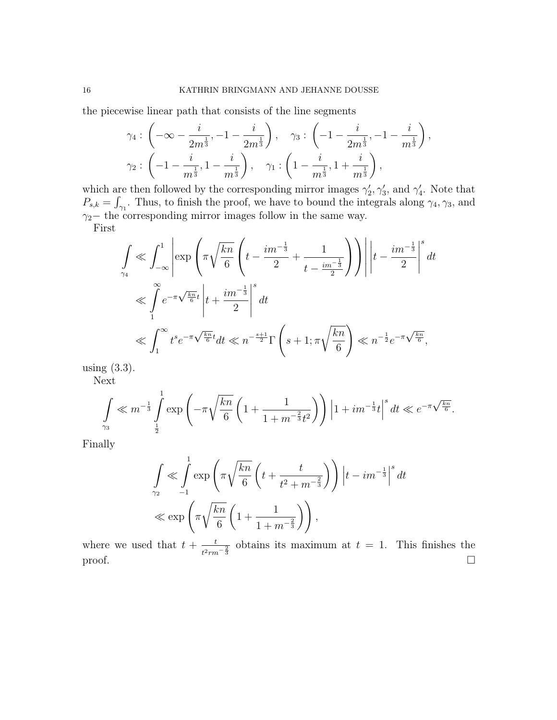the piecewise linear path that consists of the line segments

$$
\gamma_4: \left(-\infty - \frac{i}{2m^{\frac{1}{3}}}, -1 - \frac{i}{2m^{\frac{1}{3}}}\right), \quad \gamma_3: \left(-1 - \frac{i}{2m^{\frac{1}{3}}}, -1 - \frac{i}{m^{\frac{1}{3}}}\right),\newline \gamma_2: \left(-1 - \frac{i}{m^{\frac{1}{3}}}, 1 - \frac{i}{m^{\frac{1}{3}}}\right), \quad \gamma_1: \left(1 - \frac{i}{m^{\frac{1}{3}}}, 1 + \frac{i}{m^{\frac{1}{3}}}\right),\newline
$$

which are then followed by the corresponding mirror images  $\gamma'_2, \gamma'_3$ , and  $\gamma'_4$ . Note that  $P_{s,k} = \int_{\gamma_1}$ . Thus, to finish the proof, we have to bound the integrals along  $\gamma_4, \gamma_3$ , and  $\gamma_2$ − the corresponding mirror images follow in the same way. First

$$
\int_{\gamma_4} \ll \int_{-\infty}^1 \left| \exp\left(\pi \sqrt{\frac{kn}{6}} \left( t - \frac{im^{-\frac{1}{3}}}{2} + \frac{1}{t - \frac{im^{-\frac{1}{3}}}{2}} \right) \right) \right| t - \frac{im^{-\frac{1}{3}}}{2} \right)^s dt
$$
\n
$$
\ll \int_{1}^{\infty} e^{-\pi \sqrt{\frac{kn}{6}}t} \left| t + \frac{im^{-\frac{1}{3}}}{2} \right|^s dt
$$
\n
$$
\ll \int_{1}^{\infty} t^s e^{-\pi \sqrt{\frac{kn}{6}}t} dt \ll n^{-\frac{s+1}{2}} \Gamma\left(s + 1; \pi \sqrt{\frac{kn}{6}}\right) \ll n^{-\frac{1}{2}} e^{-\pi \sqrt{\frac{kn}{6}}},
$$

using (3.3).

Next

$$
\int_{\gamma_3} \ll m^{-\frac{1}{3}} \int_{\frac{1}{2}}^1 \exp\left(-\pi \sqrt{\frac{kn}{6}} \left(1 + \frac{1}{1 + m^{-\frac{2}{3}}t^2}\right)\right) \left|1 + im^{-\frac{1}{3}}t\right|^s dt \ll e^{-\pi \sqrt{\frac{kn}{6}}}.
$$

Finally

$$
\int_{\gamma_2} \ll \int_{-1}^{1} \exp\left(\pi \sqrt{\frac{kn}{6}} \left(t + \frac{t}{t^2 + m^{-\frac{2}{3}}}\right)\right) \left|t - im^{-\frac{1}{3}}\right|^s dt
$$
  

$$
\ll \exp\left(\pi \sqrt{\frac{kn}{6}} \left(1 + \frac{1}{1 + m^{-\frac{2}{3}}}\right)\right),
$$

where we used that  $t + \frac{t}{\epsilon}$  $\frac{t}{t^2 r m^{-\frac{2}{3}}}$  obtains its maximum at  $t = 1$ . This finishes the proof.  $\Box$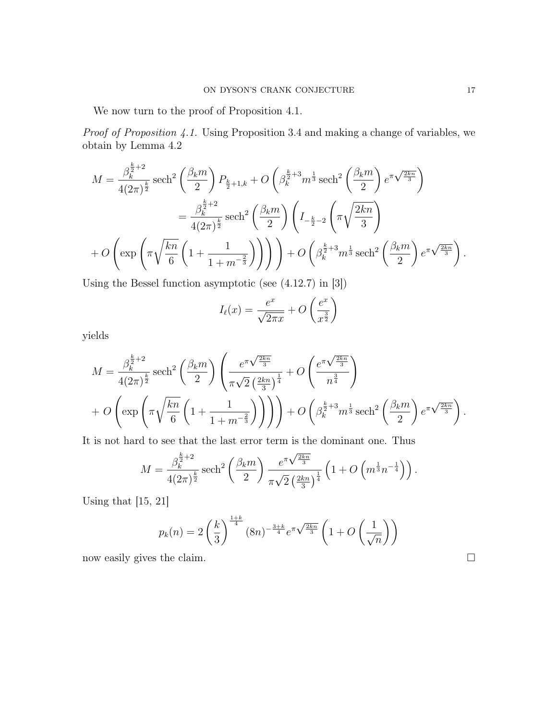We now turn to the proof of Proposition 4.1.

Proof of Proposition 4.1. Using Proposition 3.4 and making a change of variables, we obtain by Lemma 4.2

$$
M = \frac{\beta_k^{\frac{k}{2}+2}}{4(2\pi)^{\frac{k}{2}}} \operatorname{sech}^2\left(\frac{\beta_k m}{2}\right) P_{\frac{k}{2}+1,k} + O\left(\beta_k^{\frac{k}{2}+3} m^{\frac{1}{3}} \operatorname{sech}^2\left(\frac{\beta_k m}{2}\right) e^{\pi \sqrt{\frac{2kn}{3}}}\right)
$$
  

$$
= \frac{\beta_k^{\frac{k}{2}+2}}{4(2\pi)^{\frac{k}{2}}} \operatorname{sech}^2\left(\frac{\beta_k m}{2}\right) \left(I_{-\frac{k}{2}-2}\left(\pi \sqrt{\frac{2kn}{3}}\right)\right)
$$
  

$$
+ O\left(\exp\left(\pi \sqrt{\frac{kn}{6}} \left(1 + \frac{1}{1 + m^{-\frac{2}{3}}}\right)\right)\right) + O\left(\beta_k^{\frac{k}{2}+3} m^{\frac{1}{3}} \operatorname{sech}^2\left(\frac{\beta_k m}{2}\right) e^{\pi \sqrt{\frac{2kn}{3}}}\right).
$$

Using the Bessel function asymptotic (see (4.12.7) in [3])

$$
I_{\ell}(x) = \frac{e^x}{\sqrt{2\pi x}} + O\left(\frac{e^x}{x^{\frac{3}{2}}}\right)
$$

yields

$$
M = \frac{\beta_k^{\frac{k}{2}+2}}{4(2\pi)^{\frac{k}{2}}} \operatorname{sech}^2\left(\frac{\beta_k m}{2}\right) \left(\frac{e^{\pi\sqrt{\frac{2kn}{3}}}}{\pi\sqrt{2} \left(\frac{2kn}{3}\right)^{\frac{1}{4}}} + O\left(\frac{e^{\pi\sqrt{\frac{2kn}{3}}}}{n^{\frac{3}{4}}}\right) + O\left(\exp\left(\pi\sqrt{\frac{kn}{6}}\left(1 + \frac{1}{1 + m^{-\frac{2}{3}}}\right)\right)\right) + O\left(\beta_k^{\frac{k}{2}+3} m^{\frac{1}{3}} \operatorname{sech}^2\left(\frac{\beta_k m}{2}\right) e^{\pi\sqrt{\frac{2kn}{3}}}\right).
$$

It is not hard to see that the last error term is the dominant one. Thus

$$
M = \frac{\beta_k^{\frac{k}{2}+2}}{4(2\pi)^{\frac{k}{2}}} \operatorname{sech}^2\left(\frac{\beta_k m}{2}\right) \frac{e^{\pi \sqrt{\frac{2kn}{3}}}}{\pi \sqrt{2} \left(\frac{2kn}{3}\right)^{\frac{1}{4}}} \left(1 + O\left(m^{\frac{1}{3}} n^{-\frac{1}{4}}\right)\right).
$$

Using that [15, 21]

$$
p_k(n) = 2\left(\frac{k}{3}\right)^{\frac{1+k}{4}} (8n)^{-\frac{3+k}{4}} e^{\pi \sqrt{\frac{2kn}{3}}} \left(1 + O\left(\frac{1}{\sqrt{n}}\right)\right)
$$

now easily gives the claim.  $\Box$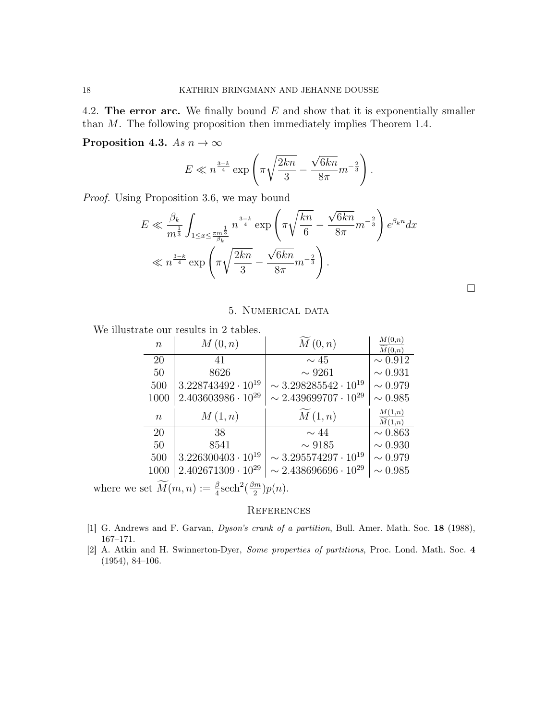4.2. The error arc. We finally bound  $E$  and show that it is exponentially smaller than M. The following proposition then immediately implies Theorem 1.4.

Proposition 4.3. As  $n \to \infty$ 

$$
E \ll n^{\frac{3-k}{4}} \exp\left(\pi \sqrt{\frac{2kn}{3}} - \frac{\sqrt{6kn}}{8\pi} m^{-\frac{2}{3}}\right).
$$

Proof. Using Proposition 3.6, we may bound

$$
E \ll \frac{\beta_k}{m^{\frac{1}{3}}} \int_{1 \le x \le \frac{\pi m^{\frac{1}{3}}}{\beta_k}} n^{\frac{3-k}{4}} \exp\left(\pi \sqrt{\frac{kn}{6}} - \frac{\sqrt{6kn}}{8\pi} m^{-\frac{2}{3}}\right) e^{\beta_k n} dx
$$
  

$$
\ll n^{\frac{3-k}{4}} \exp\left(\pi \sqrt{\frac{2kn}{3}} - \frac{\sqrt{6kn}}{8\pi} m^{-\frac{2}{3}}\right).
$$

### 5. Numerical data

 $\Box$ 

We illustrate our results in 2 tables.

| ыс ош темпь ш 4 таріся. |                             |                                  |                                                 |
|-------------------------|-----------------------------|----------------------------------|-------------------------------------------------|
| $\boldsymbol{n}$        | M(0,n)                      | M(0,n)                           | $\frac{M(0,n)}{\widetilde{M}(0,n)}$             |
| 20                      | 41                          | $\sim 45$                        | $\sim 0.912$                                    |
| 50                      | 8626                        | $\sim 9261$                      | $\sim 0.931$                                    |
| 500                     | $3.228743492 \cdot 10^{19}$ | $\sim 3.298285542\cdot 10^{19}$  | $\sim 0.979$                                    |
| 1000                    | $2.403603986\cdot 10^{29}$  | $\sim 2.439699707 \cdot 10^{29}$ | $\sim 0.985$                                    |
|                         |                             |                                  |                                                 |
| $\boldsymbol{n}$        | M(1,n)                      | M(1,n)                           | M(1,n)                                          |
| 20                      | 38                          | $\sim$ 44                        | $\overline{\widetilde{M}(1,n)}$<br>$\sim 0.863$ |
| 50                      | 8541                        | $\sim 9185$                      | $\sim 0.930$                                    |
| 500                     | $3.226300403 \cdot 10^{19}$ | $\sim 3.295574297\cdot 10^{19}$  | $\sim 0.979$                                    |
| 1000                    | $2.402671309 \cdot 10^{29}$ | $\sim 2.438696696 \cdot 10^{29}$ | $\sim 0.985$                                    |

where we set  $\widetilde{M}(m, n) := \frac{\beta}{4} \text{sech}^2(\frac{\beta m}{2})$  $\frac{2^m}{2}$ ) $p(n)$ .

## **REFERENCES**

- [1] G. Andrews and F. Garvan, Dyson's crank of a partition, Bull. Amer. Math. Soc. 18 (1988), 167–171.
- [2] A. Atkin and H. Swinnerton-Dyer, Some properties of partitions, Proc. Lond. Math. Soc. 4 (1954), 84–106.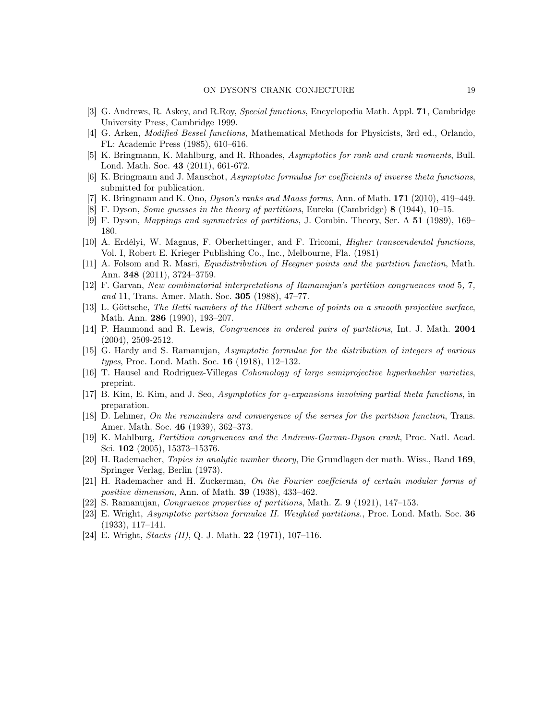- [3] G. Andrews, R. Askey, and R.Roy, Special functions, Encyclopedia Math. Appl. 71, Cambridge University Press, Cambridge 1999.
- [4] G. Arken, Modified Bessel functions, Mathematical Methods for Physicists, 3rd ed., Orlando, FL: Academic Press (1985), 610–616.
- [5] K. Bringmann, K. Mahlburg, and R. Rhoades, Asymptotics for rank and crank moments, Bull. Lond. Math. Soc. 43 (2011), 661-672.
- [6] K. Bringmann and J. Manschot, Asymptotic formulas for coefficients of inverse theta functions, submitted for publication.
- [7] K. Bringmann and K. Ono, *Dyson's ranks and Maass forms*, Ann. of Math.  $171$  (2010), 419–449.
- [8] F. Dyson, Some guesses in the theory of partitions, Eureka (Cambridge) 8 (1944), 10–15.
- [9] F. Dyson, Mappings and symmetries of partitions, J. Combin. Theory, Ser. A 51 (1989), 169– 180.
- [10] A. Erdélyi, W. Magnus, F. Oberhettinger, and F. Tricomi, Higher transcendental functions, Vol. I, Robert E. Krieger Publishing Co., Inc., Melbourne, Fla. (1981)
- [11] A. Folsom and R. Masri, Equidistribution of Heegner points and the partition function, Math. Ann. 348 (2011), 3724–3759.
- [12] F. Garvan, New combinatorial interpretations of Ramanujan's partition congruences mod 5, 7, and 11, Trans. Amer. Math. Soc. **305** (1988), 47-77.
- [13] L. Göttsche, The Betti numbers of the Hilbert scheme of points on a smooth projective surface, Math. Ann. 286 (1990), 193–207.
- [14] P. Hammond and R. Lewis, *Congruences in ordered pairs of partitions*, Int. J. Math. 2004 (2004), 2509-2512.
- [15] G. Hardy and S. Ramanujan, Asymptotic formulae for the distribution of integers of various types, Proc. Lond. Math. Soc. 16 (1918), 112–132.
- [16] T. Hausel and Rodriguez-Villegas Cohomology of large semiprojective hyperkaehler varieties, preprint.
- [17] B. Kim, E. Kim, and J. Seo, Asymptotics for q-expansions involving partial theta functions, in preparation.
- [18] D. Lehmer, On the remainders and convergence of the series for the partition function, Trans. Amer. Math. Soc. 46 (1939), 362–373.
- [19] K. Mahlburg, Partition congruences and the Andrews-Garvan-Dyson crank, Proc. Natl. Acad. Sci. 102 (2005), 15373–15376.
- [20] H. Rademacher, Topics in analytic number theory, Die Grundlagen der math. Wiss., Band 169, Springer Verlag, Berlin (1973).
- [21] H. Rademacher and H. Zuckerman, On the Fourier coeffcients of certain modular forms of positive dimension, Ann. of Math. 39 (1938), 433–462.
- [22] S. Ramanujan, Congruence properties of partitions, Math. Z. 9 (1921), 147–153.
- [23] E. Wright, Asymptotic partition formulae II. Weighted partitions., Proc. Lond. Math. Soc. 36 (1933), 117–141.
- [24] E. Wright, *Stacks (II)*, Q. J. Math. **22** (1971), 107-116.